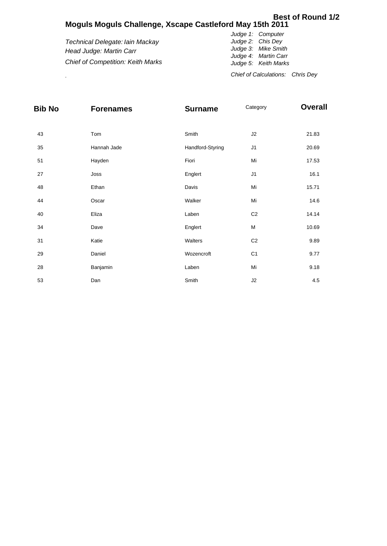## **Moguls Moguls Challenge, Xscape Castleford May 15th 2011 Best of Round 1/2**

*Technical Delegate: Iain Mackay Head Judge: Martin Carr Chief of Competition: Keith Marks Judge 1: Computer Judge 2: Chis Dey Judge 3: Mike Smith Judge 4: Martin Carr Judge 5: Keith Marks*

. *Chief of Calculations: Chris Dey*

| <b>Bib No</b> | <b>Forenames</b> | <b>Surname</b>   | Category       | <b>Overall</b> |  |  |
|---------------|------------------|------------------|----------------|----------------|--|--|
| 43            | Tom              | Smith            | J2             | 21.83          |  |  |
| 35            | Hannah Jade      | Handford-Styring | J1             | 20.69          |  |  |
| 51            | Hayden           | Fiori            | Mi             | 17.53          |  |  |
| 27            | Joss             | Englert          | J1             | 16.1           |  |  |
| 48            | Ethan            | Davis            | Mi             | 15.71          |  |  |
| 44            | Oscar            | Walker           | Mi             | 14.6           |  |  |
| 40            | Eliza            | Laben            | C <sub>2</sub> | 14.14          |  |  |
| 34            | Dave             | Englert          | М              | 10.69          |  |  |
| 31            | Katie            | Walters          | C <sub>2</sub> | 9.89           |  |  |
| 29            | Daniel           | Wozencroft       | C <sub>1</sub> | 9.77           |  |  |
| 28            | Banjamin         | Laben            | Mi             | 9.18           |  |  |
| 53            | Dan              | Smith            | J2             | 4.5            |  |  |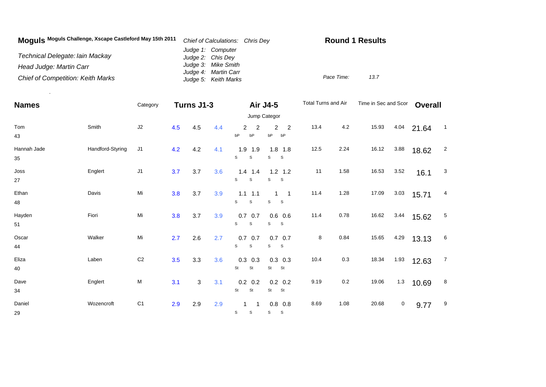| Moquis Moguls Challenge, Xscape Castleford May 15th 2011 | Chief of Calculations: Chris Dey             | <b>Round 1 Results</b> |  |  |  |  |
|----------------------------------------------------------|----------------------------------------------|------------------------|--|--|--|--|
| Technical Delegate: Iain Mackay                          | Judge 1: Computer<br>Judge 2: Chis Dey       |                        |  |  |  |  |
| Head Judge: Martin Carr                                  | Judge 3: Mike Smith                          |                        |  |  |  |  |
| <b>Chief of Competition: Keith Marks</b>                 | Judge 4: Martin Carr<br>Judge 5: Keith Marks | Pace Time:<br>13.7     |  |  |  |  |

.

| <b>Names</b>      |                  | Category       | Turns J1-3 |     |     |                                  | <b>Air J4-5</b>                                                 | Total Turns and Air |      | Time in Sec and Scor |      | <b>Overall</b> |                |
|-------------------|------------------|----------------|------------|-----|-----|----------------------------------|-----------------------------------------------------------------|---------------------|------|----------------------|------|----------------|----------------|
|                   |                  |                |            |     |     |                                  | Jump Categor                                                    |                     |      |                      |      |                |                |
| Tom<br>43         | Smith            | J2             | 4.5        | 4.5 | 4.4 | $\overline{2}$<br>2<br>bP<br>bP  | $\overline{c}$<br>$\overline{2}$<br>bP<br>bP                    | 13.4                | 4.2  | 15.93                | 4.04 | 21.64          | $\overline{1}$ |
| Hannah Jade<br>35 | Handford-Styring | J <sub>1</sub> | 4.2        | 4.2 | 4.1 | 1.9<br>1.9<br>S<br>$\mathsf S$   | $1.8$ 1.8<br>S<br>$\mathsf S$                                   | 12.5                | 2.24 | 16.12                | 3.88 | 18.62          | $\overline{c}$ |
| Joss<br>27        | Englert          | J <sub>1</sub> | 3.7        | 3.7 | 3.6 | $1.4$ 1.4<br>S<br>$\mathsf S$    | $1.2$ 1.2<br>S<br><sub>S</sub>                                  | 11                  | 1.58 | 16.53                | 3.52 | 16.1           | 3              |
| Ethan<br>48       | Davis            | Mi             | 3.8        | 3.7 | 3.9 | $1.1$ 1.1<br>S<br>$\mathsf S$    | $\mathbf{1}$<br>$\overline{\phantom{0}}$ 1<br>s<br>$\mathbf{s}$ | 11.4                | 1.28 | 17.09                | 3.03 | 15.71          | 4              |
| Hayden<br>51      | Fiori            | Mi             | 3.8        | 3.7 | 3.9 | $0.7\ 0.7$<br>S<br>S             | $0.6$ 0.6<br>S<br>S.                                            | 11.4                | 0.78 | 16.62                | 3.44 | 15.62          | 5              |
| Oscar<br>44       | Walker           | Mi             | 2.7        | 2.6 | 2.7 | $0.7\ 0.7$<br>S<br>$\mathbb S$   | $0.7\quad 0.7$<br>S<br>S                                        | 8                   | 0.84 | 15.65                | 4.29 | 13.13          | 6              |
| Eliza<br>40       | Laben            | C <sub>2</sub> | 3.5        | 3.3 | 3.6 | $0.3$ 0.3<br>St<br>St            | $0.3$ 0.3<br>St<br>St                                           | 10.4                | 0.3  | 18.34                | 1.93 | 12.63          | $\overline{7}$ |
| Dave<br>34        | Englert          | ${\sf M}$      | 3.1        | 3   | 3.1 | $0.2 \quad 0.2$<br>St<br>St      | $0.2\ 0.2$<br>St<br>St                                          | 9.19                | 0.2  | 19.06                | 1.3  | 10.69          | 8              |
| Daniel<br>29      | Wozencroft       | C <sub>1</sub> | 2.9        | 2.9 | 2.9 | $\mathbf{1}$<br>S<br>$\mathsf S$ | $0.8\ 0.8$<br>S<br>S                                            | 8.69                | 1.08 | 20.68                | 0    | 9.77           | 9              |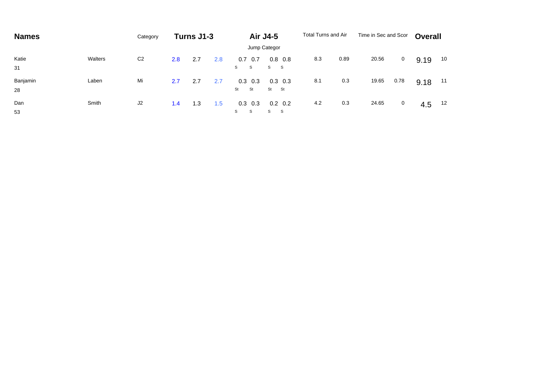| <b>Names</b>   |         | Category       | Turns J1-3 |     | Air J4-5 |                        | Total Turns and Air        |     | Time in Sec and Scor |       | <b>Overall</b> |      |    |  |
|----------------|---------|----------------|------------|-----|----------|------------------------|----------------------------|-----|----------------------|-------|----------------|------|----|--|
|                |         |                |            |     |          |                        | Jump Categor               |     |                      |       |                |      |    |  |
| Katie<br>31    | Walters | C <sub>2</sub> | 2.8        | 2.7 | 2.8      | 0.7<br>0.7<br>S.<br>S  | $0.8\quad 0.8$<br>S S      | 8.3 | 0.89                 | 20.56 | 0              | 9.19 | 10 |  |
| Banjamin<br>28 | Laben   | Mi             | 2.7        | 2.7 | 2.7      | 0.3<br>0.3<br>St<br>St | $0.3$ 0.3<br>St St         | 8.1 | 0.3                  | 19.65 | 0.78           | 9.18 | 11 |  |
| Dan<br>53      | Smith   | J2             | 1.4        | 1.3 | 1.5      | 0.3<br>0.3<br>S<br>S   | $0.2 \quad 0.2$<br>S<br>S. | 4.2 | 0.3                  | 24.65 | $\mathbf{0}$   | 4.5  | 12 |  |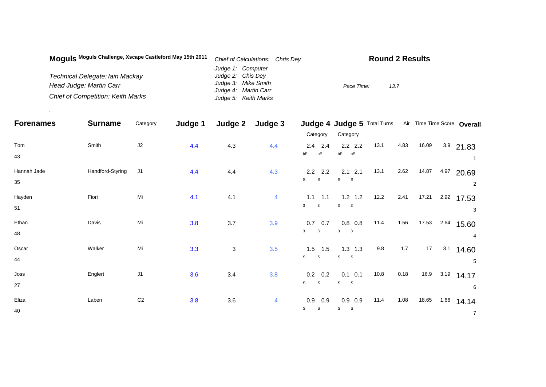| Moquis Moguls Challenge, Xscape Castleford May 15th 2011 | Chief of Calculations: Chris Dey | <b>Round 2 Results</b> |
|----------------------------------------------------------|----------------------------------|------------------------|
|                                                          | Judge 1: Computer                |                        |
| Technical Delegate: lain Mackay                          | Judge 2: Chis Dey                |                        |
| Head Judge: Martin Carr                                  | Judge 3: Mike Smith              | 13.7<br>Pace Time:     |
|                                                          | Judge 4: Martin Carr             |                        |
| <b>Chief of Competition: Keith Marks</b>                 | Judge 5: Keith Marks             |                        |

.

| <b>Forenames</b>  | <b>Surname</b>   | Category       | Judge 1 | Judge 2      | Judge 3 |                                                | Judge 4 Judge 5 Total Turns                          |      |       |       |      | Air Time Time Score Overall |
|-------------------|------------------|----------------|---------|--------------|---------|------------------------------------------------|------------------------------------------------------|------|-------|-------|------|-----------------------------|
|                   |                  |                |         |              |         | Category                                       | Category                                             |      |       |       |      |                             |
| Tom<br>43         | Smith            | J2             | 4.4     | 4.3          | 4.4     | $2.4$ 2.4<br>bP<br>bP                          | $2.2$ $2.2$<br>bP<br>bP                              | 13.1 | 4.83  | 16.09 |      | $3.9$ 21.83                 |
| Hannah Jade<br>35 | Handford-Styring | J <sub>1</sub> | 4.4     | 4.4          | 4.3     | $2.2$ 2.2<br>S<br>S                            | $2.1$ $2.1$<br>S<br>S                                | 13.1 | 2.62  | 14.87 | 4.97 | 20.69<br>$\overline{2}$     |
| Hayden<br>51      | Fiori            | Mi             | 4.1     | 4.1          | 4       | $1.1$ 1.1<br>$\mathbf{3}$<br>$\mathbf{3}$      | $1.2$ 1.2<br>$\mathbf{3}$<br>$\overline{\mathbf{3}}$ | 12.2 | 2.41  | 17.21 | 2.92 | 17.53<br>3                  |
| Ethan<br>48       | Davis            | Mi             | 3.8     | 3.7          | 3.9     | $0.7\quad 0.7$<br>$\mathbf{3}$<br>$\mathbf{3}$ | $0.8\ 0.8$<br>3<br>$\overline{\mathbf{3}}$           | 11.4 | 1.56  | 17.53 | 2.64 | 15.60<br>4                  |
| Oscar<br>44       | Walker           | Mi             | 3.3     | $\mathbf{3}$ | 3.5     | $1.5$ 1.5<br>$\mathsf{s}$<br><sub>S</sub>      | $1.3$ 1.3<br>S S                                     | 9.8  | $1.7$ | 17    | 3.1  | 14.60<br>5                  |
| Joss<br>27        | Englert          | J1             | 3.6     | 3.4          | 3.8     | $0.2\quad 0.2$<br>S<br>S                       | $0.1$ 0.1<br>$S_S$                                   | 10.8 | 0.18  | 16.9  | 3.19 | 14.17<br>6                  |
| Eliza<br>40       | Laben            | C <sub>2</sub> | 3.8     | 3.6          | 4       | 0.9<br>0.9<br>S<br>S                           | $0.9$ 0.9<br>S<br><sub>S</sub>                       | 11.4 | 1.08  | 18.65 | 1.66 | 14.14<br>$\overline{7}$     |